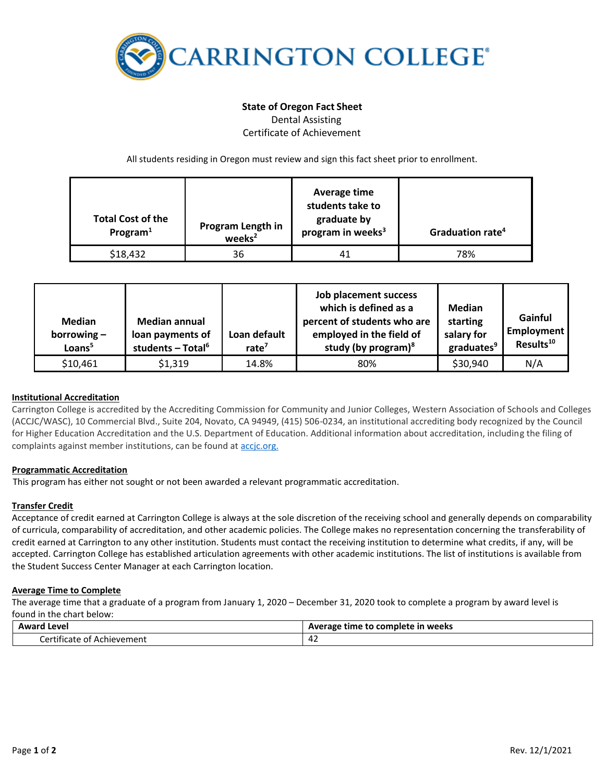

## **State of Oregon Fact Sheet** Dental Assisting

Certificate of Achievement

All students residing in Oregon must review and sign this fact sheet prior to enrollment.

| <b>Total Cost of the</b><br>Program $1$ | Program Length in<br>weeks <sup>2</sup> | Average time<br>students take to<br>graduate by<br>program in weeks <sup>3</sup> | Graduation rate <sup>4</sup> |
|-----------------------------------------|-----------------------------------------|----------------------------------------------------------------------------------|------------------------------|
| \$18,432                                | 36                                      | 41                                                                               | 78%                          |

| Median<br>borrowing $-$<br>Loans <sup>5</sup> | <b>Median annual</b><br>loan payments of<br>students $-$ Total <sup>6</sup> | Loan default<br>rate $7$ | Job placement success<br>which is defined as a<br>percent of students who are<br>employed in the field of<br>study (by program) $8$ | Median<br>starting<br>salary for<br>graduates <sup>9</sup> | Gainful<br>Employment<br>Results <sup>10</sup> |
|-----------------------------------------------|-----------------------------------------------------------------------------|--------------------------|-------------------------------------------------------------------------------------------------------------------------------------|------------------------------------------------------------|------------------------------------------------|
| \$10,461                                      | \$1,319                                                                     | 14.8%                    | 80%                                                                                                                                 | \$30,940                                                   | N/A                                            |

# **Institutional Accreditation**

Carrington College is accredited by the Accrediting Commission for Community and Junior Colleges, Western Association of Schools and Colleges (ACCJC/WASC), 10 Commercial Blvd., Suite 204, Novato, CA 94949, (415) 506-0234, an institutional accrediting body recognized by the Council for Higher Education Accreditation and the U.S. Department of Education. Additional information about accreditation, including the filing of complaints against member institutions, can be found a[t accjc.org.](http://www.accjc.org/)

### **Programmatic Accreditation**

This program has either not sought or not been awarded a relevant programmatic accreditation.

### **Transfer Credit**

Acceptance of credit earned at Carrington College is always at the sole discretion of the receiving school and generally depends on comparability of curricula, comparability of accreditation, and other academic policies. The College makes no representation concerning the transferability of credit earned at Carrington to any other institution. Students must contact the receiving institution to determine what credits, if any, will be accepted. Carrington College has established articulation agreements with other academic institutions. The list of institutions is available from the Student Success Center Manager at each Carrington location.

### **Average Time to Complete**

The average time that a graduate of a program from January 1, 2020 – December 31, 2020 took to complete a program by award level is found in the chart below:

| Award                                                               | : to complete in weeks |  |
|---------------------------------------------------------------------|------------------------|--|
| Level                                                               | Average time to        |  |
| .<br>-<br>orti'<br><sup>.</sup> Achievement<br>:tificate<br>01<br>. | $\sim$<br>44 L         |  |